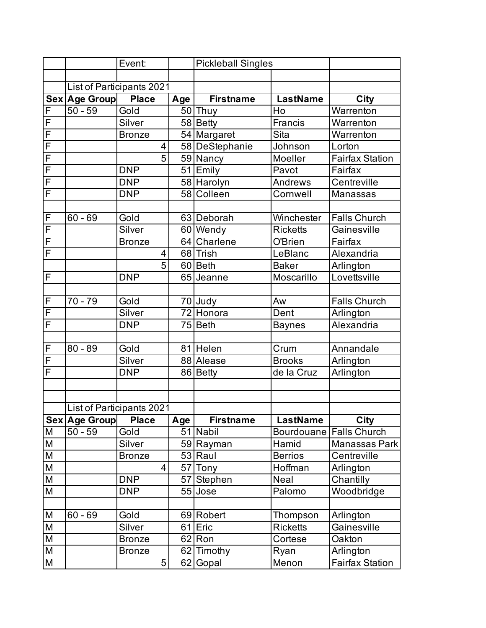|                         |               | Event:                    |     | <b>Pickleball Singles</b> |                   |                        |
|-------------------------|---------------|---------------------------|-----|---------------------------|-------------------|------------------------|
|                         |               |                           |     |                           |                   |                        |
|                         |               | List of Participants 2021 |     |                           |                   |                        |
|                         | Sex Age Group | <b>Place</b>              | Age | <b>Firstname</b>          | <b>LastName</b>   | City                   |
| F                       | $50 - 59$     | Gold                      |     | $50$ Thuy                 | Ho                | Warrenton              |
| F                       |               | Silver                    |     | 58 Betty                  | Francis           | Warrenton              |
| $\overline{\mathsf{F}}$ |               | <b>Bronze</b>             |     | 54 Margaret               | Sita              | Warrenton              |
| F                       |               | 4                         |     | 58 DeStephanie            | Johnson           | Lorton                 |
| $\overline{\mathsf{F}}$ |               | $\overline{5}$            |     | 59 Nancy                  | Moeller           | <b>Fairfax Station</b> |
| F                       |               | <b>DNP</b>                |     | 51 Emily                  | Pavot             | Fairfax                |
| $\overline{\mathsf{F}}$ |               | <b>DNP</b>                |     | 58 Harolyn                | Andrews           | Centreville            |
| F                       |               | <b>DNP</b>                |     | 58 Colleen                | Cornwell          | Manassas               |
|                         |               |                           |     |                           |                   |                        |
| F                       | $60 - 69$     | Gold                      |     | 63 Deborah                | Winchester        | <b>Falls Church</b>    |
| F                       |               | Silver                    |     | 60 Wendy                  | <b>Ricketts</b>   | Gainesville            |
| F                       |               | <b>Bronze</b>             |     | 64 Charlene               | O'Brien           | Fairfax                |
| F                       |               | 4                         |     | 68 Trish                  | LeBlanc           | Alexandria             |
|                         |               | $\overline{5}$            |     | 60 Beth                   | <b>Baker</b>      | Arlington              |
| F                       |               | <b>DNP</b>                |     | 65 Jeanne                 | Moscarillo        | Lovettsville           |
|                         |               |                           |     |                           |                   |                        |
| F                       | $70 - 79$     | Gold                      |     | 70 Judy                   | Aw                | <b>Falls Church</b>    |
| F                       |               | Silver                    |     | $\overline{72}$ Honora    | Dent              | Arlington              |
| F                       |               | <b>DNP</b>                |     | 75 Beth                   | <b>Baynes</b>     | Alexandria             |
|                         |               |                           |     |                           |                   |                        |
| F                       | $80 - 89$     | Gold                      |     | 81 Helen                  | Crum              | Annandale              |
| F                       |               | Silver                    |     | 88 Alease                 | <b>Brooks</b>     | Arlington              |
| F                       |               | <b>DNP</b>                |     | 86 Betty                  | de la Cruz        | Arlington              |
|                         |               |                           |     |                           |                   |                        |
|                         |               |                           |     |                           |                   |                        |
|                         |               | List of Participants 2021 |     |                           |                   |                        |
|                         | Sex Age Group | <b>Place</b>              | Age | <b>Firstname</b>          | <b>LastName</b>   | City                   |
| M                       | $50 - 59$     | Gold                      |     | 51 Nabil                  | <b>Bourdouane</b> | <b>Falls Church</b>    |
| M                       |               | Silver                    |     | 59 Rayman                 | Hamid             | Manassas Park          |
| М                       |               | <b>Bronze</b>             |     | 53 Raul                   | <b>Berrios</b>    | Centreville            |
| M                       |               | 4                         |     | 57 Tony                   | Hoffman           | Arlington              |
| M                       |               | <b>DNP</b>                | 57  | Stephen                   | Neal              | Chantilly              |
| М                       |               | <b>DNP</b>                | 55  | Jose                      | Palomo            | Woodbridge             |
|                         |               |                           |     |                           |                   |                        |
| M                       | $60 - 69$     | Gold                      |     | 69 Robert                 | Thompson          | Arlington              |
| M                       |               | Silver                    | 61  | Eric                      | <b>Ricketts</b>   | Gainesville            |
| M                       |               | <b>Bronze</b>             |     | $62$ Ron                  | Cortese           | Oakton                 |
| М                       |               | <b>Bronze</b>             |     | 62 Timothy                | Ryan              | Arlington              |
| М                       |               | 5                         | 62  | Gopal                     | Menon             | <b>Fairfax Station</b> |